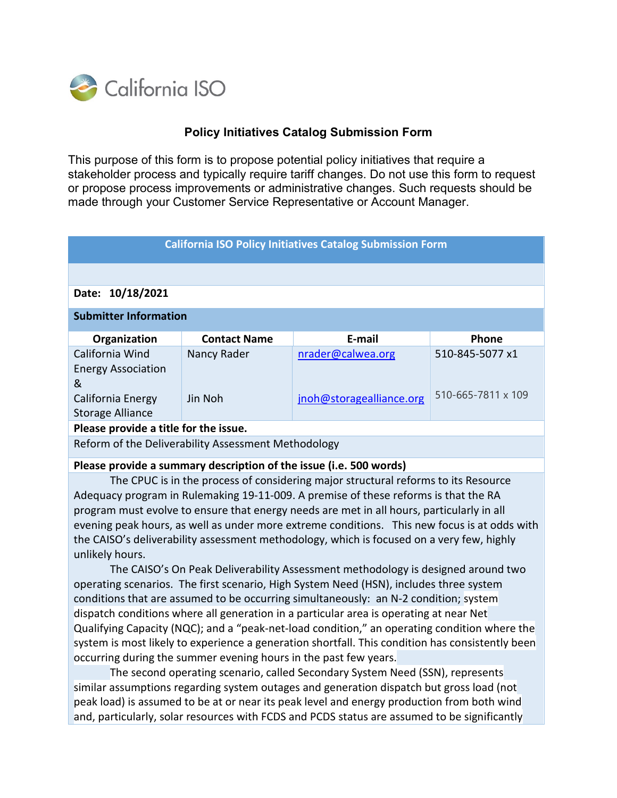

## **Policy Initiatives Catalog Submission Form**

This purpose of this form is to propose potential policy initiatives that require a stakeholder process and typically require tariff changes. Do not use this form to request or propose process improvements or administrative changes. Such requests should be made through your Customer Service Representative or Account Manager.

| <b>California ISO Policy Initiatives Catalog Submission Form</b>                                                                                                     |                     |                          |                    |
|----------------------------------------------------------------------------------------------------------------------------------------------------------------------|---------------------|--------------------------|--------------------|
|                                                                                                                                                                      |                     |                          |                    |
| Date: 10/18/2021                                                                                                                                                     |                     |                          |                    |
|                                                                                                                                                                      |                     |                          |                    |
| <b>Submitter Information</b>                                                                                                                                         |                     |                          |                    |
| Organization                                                                                                                                                         | <b>Contact Name</b> | E-mail                   | Phone              |
| California Wind                                                                                                                                                      | Nancy Rader         | nrader@calwea.org        | 510-845-5077 x1    |
| <b>Energy Association</b>                                                                                                                                            |                     |                          |                    |
| &                                                                                                                                                                    |                     |                          |                    |
| California Energy                                                                                                                                                    | Jin Noh             | jnoh@storagealliance.org | 510-665-7811 x 109 |
| <b>Storage Alliance</b>                                                                                                                                              |                     |                          |                    |
| Please provide a title for the issue.                                                                                                                                |                     |                          |                    |
| Reform of the Deliverability Assessment Methodology                                                                                                                  |                     |                          |                    |
| Please provide a summary description of the issue (i.e. 500 words)                                                                                                   |                     |                          |                    |
| The CPUC is in the process of considering major structural reforms to its Resource                                                                                   |                     |                          |                    |
| Adequacy program in Rulemaking 19-11-009. A premise of these reforms is that the RA                                                                                  |                     |                          |                    |
| program must evolve to ensure that energy needs are met in all hours, particularly in all                                                                            |                     |                          |                    |
| evening peak hours, as well as under more extreme conditions. This new focus is at odds with                                                                         |                     |                          |                    |
| the CAISO's deliverability assessment methodology, which is focused on a very few, highly                                                                            |                     |                          |                    |
| unlikely hours.                                                                                                                                                      |                     |                          |                    |
| The CAISO's On Peak Deliverability Assessment methodology is designed around two                                                                                     |                     |                          |                    |
| operating scenarios. The first scenario, High System Need (HSN), includes three system                                                                               |                     |                          |                    |
| conditions that are assumed to be occurring simultaneously: an N-2 condition; system                                                                                 |                     |                          |                    |
| dispatch conditions where all generation in a particular area is operating at near Net                                                                               |                     |                          |                    |
| Qualifying Capacity (NQC); and a "peak-net-load condition," an operating condition where the                                                                         |                     |                          |                    |
| system is most likely to experience a generation shortfall. This condition has consistently been<br>occurring during the summer evening hours in the past few years. |                     |                          |                    |
|                                                                                                                                                                      |                     |                          |                    |
| The second operating scenario, called Secondary System Need (SSN), represents                                                                                        |                     |                          |                    |

similar assumptions regarding system outages and generation dispatch but gross load (not peak load) is assumed to be at or near its peak level and energy production from both wind and, particularly, solar resources with FCDS and PCDS status are assumed to be significantly